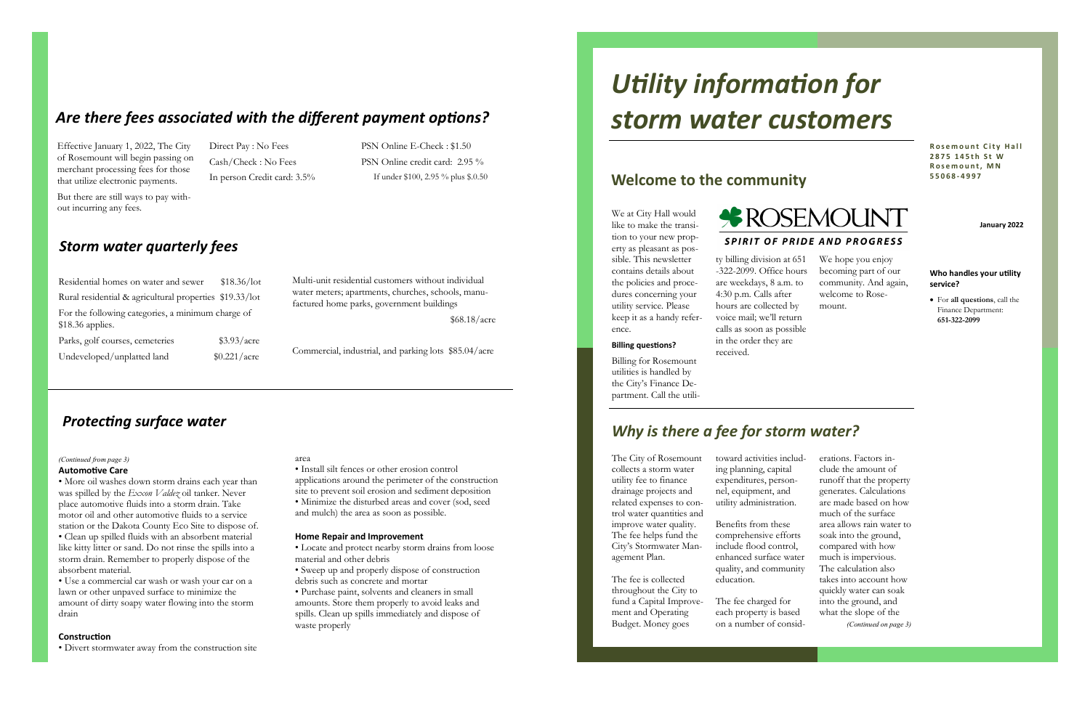• More oil washes down storm drains each year than was spilled by the *Exxon Valdez* oil tanker. Never place automotive fluids into a storm drain. Take motor oil and other automotive fluids to a service station or the Dakota County Eco Site to dispose of. • Clean up spilled fluids with an absorbent material like kitty litter or sand. Do not rinse the spills into a storm drain. Remember to properly dispose of the absorbent material.

#### **Automotive Care** *(Continued from page 3)* area

• Use a commercial car wash or wash your car on a lawn or other unpaved surface to minimize the amount of dirty soapy water flowing into the storm drain

#### **Construction**

• Divert stormwater away from the construction site

• Install silt fences or other erosion control applications around the perimeter of the construction site to prevent soil erosion and sediment deposition • Minimize the disturbed areas and cover (sod, seed and mulch) the area as soon as possible.

#### **Home Repair and Improvement**

• Locate and protect nearby storm drains from loose material and other debris

• Sweep up and properly dispose of construction debris such as concrete and mortar

• Purchase paint, solvents and cleaners in small amounts. Store them properly to avoid leaks and spills. Clean up spills immediately and dispose of waste properly

## *Protecting surface water*

Multi-unit residential customers without individual water meters; apartments, churches, schools, manufactured home parks, government buildings

\$68.18/acre

Commercial, industrial, and parking lots \$85.04/acre

## *Storm water quarterly fees*

Residential homes on water and sewer \$18.36/lot Rural residential & agricultural properties \$19.33/lot For the following categories, a minimum charge of \$18.36 applies. Parks, golf courses, cemeteries  $$3.93/$ acre Undeveloped/unplatted land \$0.221/acre

## *Are there fees associated with the different payment options?*

PSN Online E-Check : \$1.50 PSN Online credit card: 2.95 % If under \$100, 2.95 % plus \$.0.50

Effective January 1, 2022, The City of Rosemount will begin passing on merchant processing fees for those that utilize electronic payments.

**Rosemount City Hall 2 8 7 5 1 4 5 t h S t W R o s e m o u n t , M N 5 5 0 6 8 - 4 9 9 7**

But there are still ways to pay without incurring any fees.

Direct Pay : No Fees Cash/Check : No Fees In person Credit card: 3.5%

> ty billing division at 651 -322-2099. Office hours are weekdays, 8 a.m. to 4:30 p.m. Calls after hours are collected by voice mail; we'll return calls as soon as possible in the order they are received.

- erations. Factors include the amount of runoff that the property generates. Calculations are made based on how much of the surface area allows rain water to soak into the ground, compared with how much is impervious.
- The calculation also takes into account how quickly water can soak into the ground, and what the slope of the *(Continued on page 3)*

The City of Rosemount collects a storm water utility fee to finance drainage projects and related expenses to control water quantities and improve water quality. The fee helps fund the City's Stormwater Management Plan.

The fee is collected throughout the City to fund a Capital Improvement and Operating Budget. Money goes

toward activities including planning, capital expenditures, personnel, equipment, and utility administration.

Benefits from these comprehensive efforts include flood control, enhanced surface water quality, and community education.

The fee charged for each property is based on a number of consid-

## *Why is there a fee for storm water?*

We at City Hall would like to make the transition to your new property as pleasant as possible. This newsletter contains details about the policies and procedures concerning your utility service. Please keep it as a handy refer**\*ROSEMOUNT SPIRIT OF PRIDE AND PROGRESS** 

ence.

#### **Billing questions?**

Billing for Rosemount utilities is handled by the City's Finance Department. Call the utili-

#### We hope you enjoy becoming part of our community. And again, welcome to Rosemount.

# *Utility information for storm water customers*

## **Welcome to the community**

#### **Who handles your utility service?**

• For **all questions**, call the Finance Department: **651-322-2099**

**January 2022**